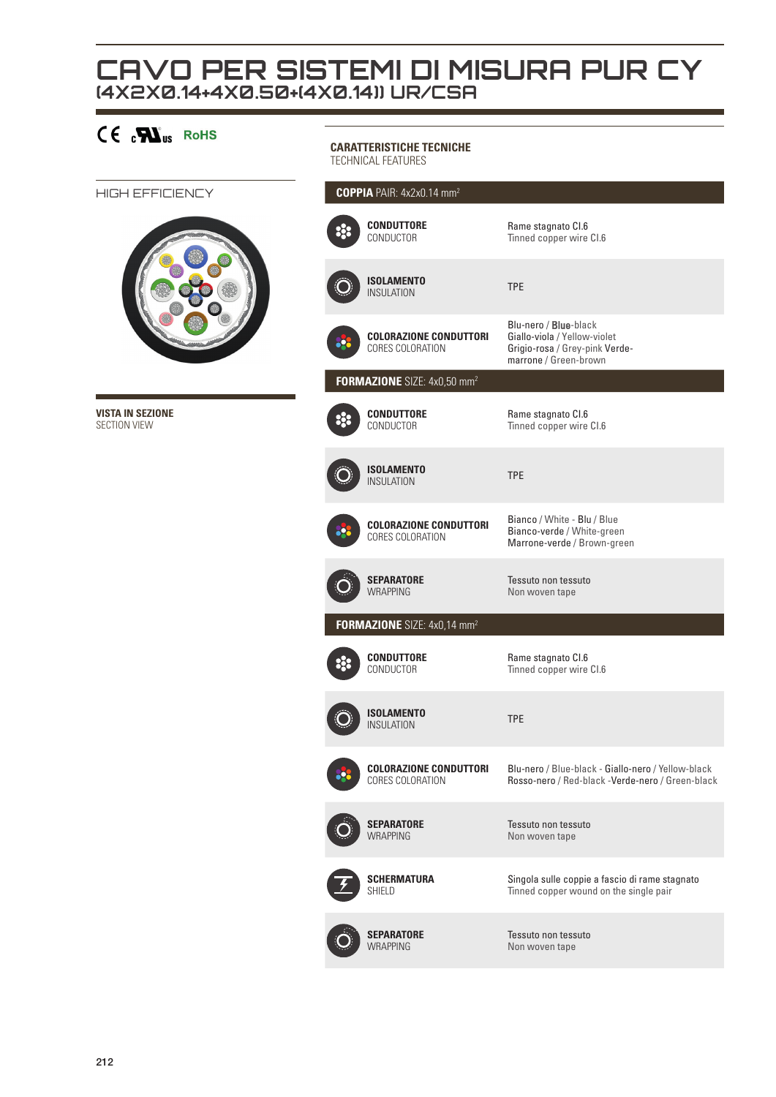## **CAVO PER SISTEMI DI MISURA PUR CY (4X2X0.14+4X0.50+(4X0.14)) UR/CSA**

| $CE$ $\mathbf{W}_{us}$ RoHS             | <b>CARATTERISTICHE TECNICHE</b><br>TECHNICAL FEATURES   |                                                                                                                  |
|-----------------------------------------|---------------------------------------------------------|------------------------------------------------------------------------------------------------------------------|
| HIGH EFFICIENCY                         | COPPIA PAIR: 4x2x0.14 mm <sup>2</sup>                   |                                                                                                                  |
|                                         | <b>CONDUTTORE</b><br>CONDUCTOR                          | Rame stagnato CI.6<br>Tinned copper wire CI.6                                                                    |
|                                         | <b>ISOLAMENTO</b><br><b>INSULATION</b>                  | <b>TPE</b>                                                                                                       |
|                                         | <b>COLORAZIONE CONDUTTORI</b><br>CORES COLORATION       | Blu-nero / Blue-black<br>Giallo-viola / Yellow-violet<br>Grigio-rosa / Grey-pink Verde-<br>marrone / Green-brown |
|                                         | FORMAZIONE SIZE: 4x0,50 mm <sup>2</sup>                 |                                                                                                                  |
| <b>VISTA IN SEZIONE</b><br>SECTION VIEW | <b>CONDUTTORE</b><br>CONDUCTOR                          | Rame stagnato CI.6<br>Tinned copper wire CI.6                                                                    |
|                                         | <b>ISOLAMENTO</b><br><b>INSULATION</b>                  | <b>TPE</b>                                                                                                       |
|                                         | <b>COLORAZIONE CONDUTTORI</b><br>o-<br>CORES COLORATION | Bianco / White - Blu / Blue<br>Bianco-verde / White-green<br>Marrone-verde / Brown-green                         |
|                                         | <b>SEPARATORE</b><br><b>WRAPPING</b>                    | Tessuto non tessuto<br>Non woven tape                                                                            |
|                                         | FORMAZIONE SIZE: 4x0,14 mm <sup>2</sup>                 |                                                                                                                  |
|                                         | <b>CONDUTTORE</b><br>CONDUCTOR                          | Rame stagnato CI.6<br>Tinned copper wire CI.6                                                                    |
|                                         | <b>ISOLAMENTO</b><br><b>INSULATION</b>                  | <b>TPE</b>                                                                                                       |
|                                         | <b>COLORAZIONE CONDUTTORI</b><br>CORES COLORATION       | Blu-nero / Blue-black - Giallo-nero / Yellow-black<br>Rosso-nero / Red-black -Verde-nero / Green-black           |
|                                         | <b>SEPARATORE</b><br><b>WRAPPING</b>                    | Tessuto non tessuto<br>Non woven tape                                                                            |
|                                         | <b>SCHERMATURA</b><br>SHIELD                            | Singola sulle coppie a fascio di rame stagnato<br>Tinned copper wound on the single pair                         |
|                                         | <b>SEPARATORE</b><br><b>WRAPPING</b>                    | Tessuto non tessuto<br>Non woven tape                                                                            |
|                                         |                                                         |                                                                                                                  |